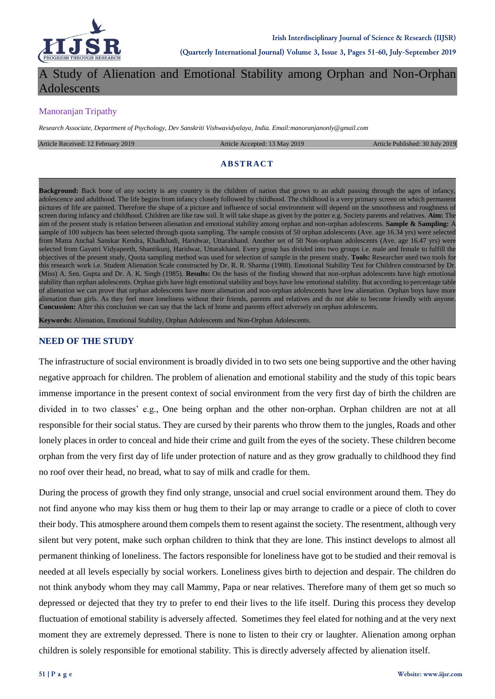

A Study of Alienation and Emotional Stability among Orphan and Non-Orphan Adolescents

## Manoranjan Tripathy

*Research Associate, Department of Psychology, Dev Sanskriti Vishwavidyalaya, India. Email:manoranjanonly@gmail.com*

Article Received: 12 February 2019 **Article Accepted: 13 May 2019** Article Accepted: 13 May 2019 **Article Published: 30 July 2019** 

#### **ABSTRACT**

**Background:** Back bone of any society is any country is the children of nation that grows to an adult passing through the ages of infancy, adolescence and adulthood. The life begins from infancy closely followed by childhood. The childhood is a very primary screen on which permanent pictures of life are painted. Therefore the shape of a picture and influence of social environment will depend on the smoothness and roughness of screen during infancy and childhood. Children are like raw soil. It will take shape as given by the potter e.g. Society parents and relatives. **Aim:** The aim of the present study is relation between alienation and emotional stability among orphan and non-orphan adolescents. **Sample & Sampling:** A sample of 100 subjects has been selected through quota sampling. The sample consists of 50 orphan adolescents (Ave. age 16.34 yrs) were selected from Matra Anchal Sanskar Kendra, Khadkhadi, Haridwar, Uttarakhand. Another set of 50 Non-orphans adolescents (Ave. age 16.47 yrs) were selected from Gayatri Vidyapeeth, Shantikunj, Haridwar, Uttarakhand. Every group has divided into two groups i.e. male and female to fulfill the objectives of the present study, Quota sampling method was used for selection of sample in the present study. **Tools:** Researcher used two tools for this research work i.e. Student Alienation Scale constructed by Dr. R. R. Sharma (1988). Emotional Stability Test for Children constructed by Dr. (Miss) A. Sen. Gupta and Dr. A. K. Singh (1985). **Results:** On the basis of the finding showed that non-orphan adolescents have high emotional stability than orphan adolescents. Orphan girls have high emotional stability and boys have low emotional stability. But according to percentage table of alienation we can prove that orphan adolescents have more alienation and non-orphan adolescents have low alienation. Orphan boys have more alienation than girls. As they feel more loneliness without their friends, parents and relatives and do not able to become friendly with anyone. **Concussion:** After this conclusion we can say that the lack of home and parents effect adversely on orphan adolescents.

**Keywords:** Alienation, Emotional Stability, Orphan Adolescents and Non-Orphan Adolescents.

### **NEED OF THE STUDY**

The infrastructure of social environment is broadly divided in to two sets one being supportive and the other having negative approach for children. The problem of alienation and emotional stability and the study of this topic bears immense importance in the present context of social environment from the very first day of birth the children are divided in to two classes' e.g., One being orphan and the other non-orphan. Orphan children are not at all responsible for their social status. They are cursed by their parents who throw them to the jungles, Roads and other lonely places in order to conceal and hide their crime and guilt from the eyes of the society. These children become orphan from the very first day of life under protection of nature and as they grow gradually to childhood they find no roof over their head, no bread, what to say of milk and cradle for them.

During the process of growth they find only strange, unsocial and cruel social environment around them. They do not find anyone who may kiss them or hug them to their lap or may arrange to cradle or a piece of cloth to cover their body. This atmosphere around them compels them to resent against the society. The resentment, although very silent but very potent, make such orphan children to think that they are lone. This instinct develops to almost all permanent thinking of loneliness. The factors responsible for loneliness have got to be studied and their removal is needed at all levels especially by social workers. Loneliness gives birth to dejection and despair. The children do not think anybody whom they may call Mammy, Papa or near relatives. Therefore many of them get so much so depressed or dejected that they try to prefer to end their lives to the life itself. During this process they develop fluctuation of emotional stability is adversely affected. Sometimes they feel elated for nothing and at the very next moment they are extremely depressed. There is none to listen to their cry or laughter. Alienation among orphan children is solely responsible for emotional stability. This is directly adversely affected by alienation itself.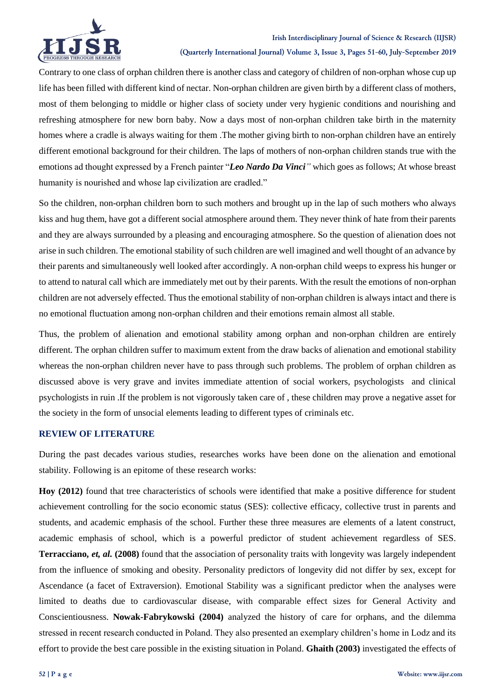

Contrary to one class of orphan children there is another class and category of children of non-orphan whose cup up life has been filled with different kind of nectar. Non-orphan children are given birth by a different class of mothers, most of them belonging to middle or higher class of society under very hygienic conditions and nourishing and refreshing atmosphere for new born baby. Now a days most of non-orphan children take birth in the maternity homes where a cradle is always waiting for them .The mother giving birth to non-orphan children have an entirely different emotional background for their children. The laps of mothers of non-orphan children stands true with the emotions ad thought expressed by a French painter "*Leo Nardo Da Vinci"* which goes as follows; At whose breast humanity is nourished and whose lap civilization are cradled."

So the children, non-orphan children born to such mothers and brought up in the lap of such mothers who always kiss and hug them, have got a different social atmosphere around them. They never think of hate from their parents and they are always surrounded by a pleasing and encouraging atmosphere. So the question of alienation does not arise in such children. The emotional stability of such children are well imagined and well thought of an advance by their parents and simultaneously well looked after accordingly. A non-orphan child weeps to express his hunger or to attend to natural call which are immediately met out by their parents. With the result the emotions of non-orphan children are not adversely effected. Thus the emotional stability of non-orphan children is always intact and there is no emotional fluctuation among non-orphan children and their emotions remain almost all stable.

Thus, the problem of alienation and emotional stability among orphan and non-orphan children are entirely different. The orphan children suffer to maximum extent from the draw backs of alienation and emotional stability whereas the non-orphan children never have to pass through such problems. The problem of orphan children as discussed above is very grave and invites immediate attention of social workers, psychologists and clinical psychologists in ruin .If the problem is not vigorously taken care of , these children may prove a negative asset for the society in the form of unsocial elements leading to different types of criminals etc.

# **REVIEW OF LITERATURE**

During the past decades various studies, researches works have been done on the alienation and emotional stability. Following is an epitome of these research works:

**Hoy (2012)** found that tree characteristics of schools were identified that make a positive difference for student achievement controlling for the socio economic status (SES): collective efficacy, collective trust in parents and students, and academic emphasis of the school. Further these three measures are elements of a latent construct, academic emphasis of school, which is a powerful predictor of student achievement regardless of SES. **Terracciano,** *et, al.* **(2008)** found that the association of personality traits with longevity was largely independent from the influence of smoking and obesity. Personality predictors of longevity did not differ by sex, except for Ascendance (a facet of Extraversion). Emotional Stability was a significant predictor when the analyses were limited to deaths due to cardiovascular disease, with comparable effect sizes for General Activity and Conscientiousness. **Nowak-Fabrykowski (2004)** analyzed the history of care for orphans, and the dilemma stressed in recent research conducted in Poland. They also presented an exemplary children's home in Lodz and its effort to provide the best care possible in the existing situation in Poland. **Ghaith (2003)** investigated the effects of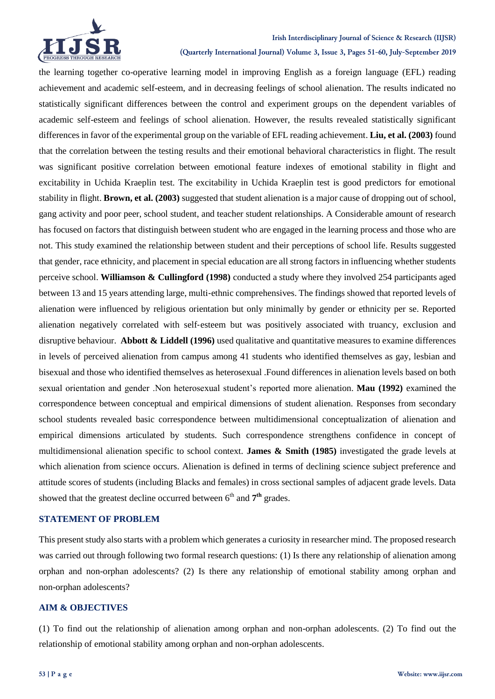

#### **Irish Interdisciplinary Journal of Science & Research (IIJSR)**

**(Quarterly International Journal) Volume 3, Issue 3, Pages 51-60, July-September 2019**

the learning together co-operative learning model in improving English as a foreign language (EFL) reading achievement and academic self-esteem, and in decreasing feelings of school alienation. The results indicated no statistically significant differences between the control and experiment groups on the dependent variables of academic self-esteem and feelings of school alienation. However, the results revealed statistically significant differences in favor of the experimental group on the variable of EFL reading achievement. **Liu, et al. (2003)** found that the correlation between the testing results and their emotional behavioral characteristics in flight. The result was significant positive correlation between emotional feature indexes of emotional stability in flight and excitability in Uchida Kraeplin test. The excitability in Uchida Kraeplin test is good predictors for emotional stability in flight. **Brown, et al. (2003)** suggested that student alienation is a major cause of dropping out of school, gang activity and poor peer, school student, and teacher student relationships. A Considerable amount of research has focused on factors that distinguish between student who are engaged in the learning process and those who are not. This study examined the relationship between student and their perceptions of school life. Results suggested that gender, race ethnicity, and placement in special education are all strong factors in influencing whether students perceive school. **Williamson & Cullingford (1998)** conducted a study where they involved 254 participants aged between 13 and 15 years attending large, multi-ethnic comprehensives. The findings showed that reported levels of alienation were influenced by religious orientation but only minimally by gender or ethnicity per se. Reported alienation negatively correlated with self‐esteem but was positively associated with truancy, exclusion and disruptive behaviour. **Abbott & Liddell (1996)** used qualitative and quantitative measures to examine differences in levels of perceived alienation from campus among 41 students who identified themselves as gay, lesbian and bisexual and those who identified themselves as heterosexual .Found differences in alienation levels based on both sexual orientation and gender .Non heterosexual student's reported more alienation. **Mau (1992)** examined the correspondence between conceptual and empirical dimensions of student alienation. Responses from secondary school students revealed basic correspondence between multidimensional conceptualization of alienation and empirical dimensions articulated by students. Such correspondence strengthens confidence in concept of multidimensional alienation specific to school context. **James & Smith (1985)** investigated the grade levels at which alienation from science occurs. Alienation is defined in terms of declining science subject preference and attitude scores of students (including Blacks and females) in cross sectional samples of adjacent grade levels. Data showed that the greatest decline occurred between 6<sup>th</sup> and 7<sup>th</sup> grades.

### **STATEMENT OF PROBLEM**

This present study also starts with a problem which generates a curiosity in researcher mind. The proposed research was carried out through following two formal research questions: (1) Is there any relationship of alienation among orphan and non-orphan adolescents? (2) Is there any relationship of emotional stability among orphan and non-orphan adolescents?

### **AIM & OBJECTIVES**

(1) To find out the relationship of alienation among orphan and non-orphan adolescents. (2) To find out the relationship of emotional stability among orphan and non-orphan adolescents.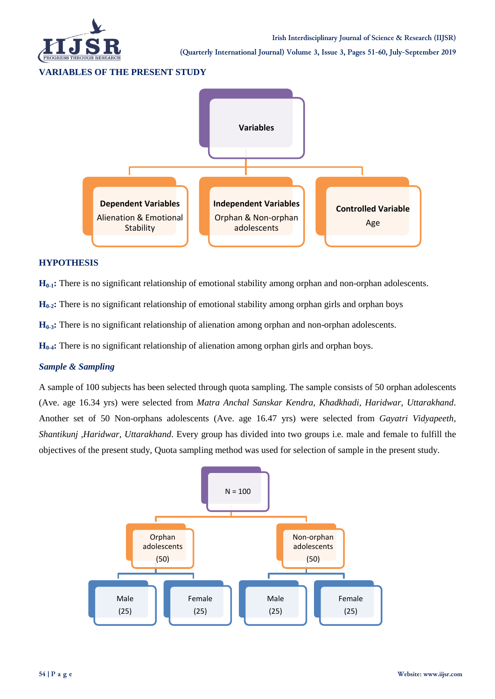

**(Quarterly International Journal) Volume 3, Issue 3, Pages 51-60, July-September 2019**

#### **VARIABLES OF THE PRESENT STUDY**



### **HYPOTHESIS**

**H**<sub>0-1</sub>**:** There is no significant relationship of emotional stability among orphan and non-orphan adolescents.

**H**<sub>0-2</sub>**:** There is no significant relationship of emotional stability among orphan girls and orphan boys

**H0-3:** There is no significant relationship of alienation among orphan and non-orphan adolescents.

**H0-4:** There is no significant relationship of alienation among orphan girls and orphan boys.

### *Sample & Sampling*

A sample of 100 subjects has been selected through quota sampling. The sample consists of 50 orphan adolescents (Ave. age 16.34 yrs) were selected from *Matra Anchal Sanskar Kendra, Khadkhadi, Haridwar, Uttarakhand*. Another set of 50 Non-orphans adolescents (Ave. age 16.47 yrs) were selected from *Gayatri Vidyapeeth, Shantikunj ,Haridwar, Uttarakhand*. Every group has divided into two groups i.e. male and female to fulfill the objectives of the present study, Quota sampling method was used for selection of sample in the present study.

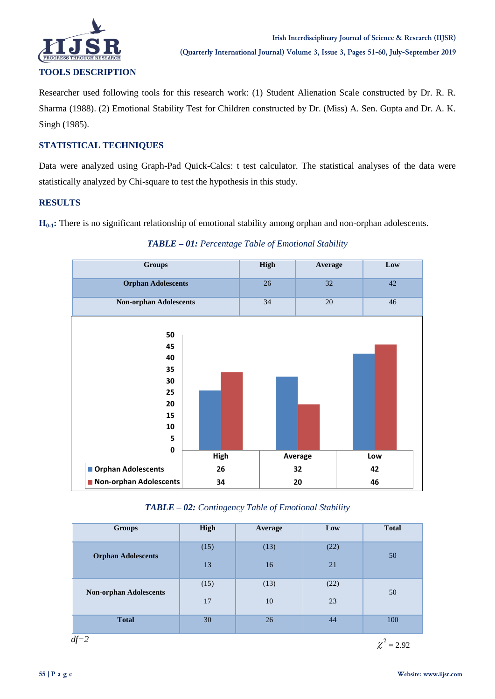

Researcher used following tools for this research work: (1) Student Alienation Scale constructed by Dr. R. R. Sharma (1988). (2) Emotional Stability Test for Children constructed by Dr. (Miss) A. Sen. Gupta and Dr. A. K. Singh (1985).

# **STATISTICAL TECHNIQUES**

Data were analyzed using Graph-Pad Quick-Calcs: t test calculator. The statistical analyses of the data were statistically analyzed by Chi-square to test the hypothesis in this study.

## **RESULTS**

**H**<sub>0-1</sub>**:** There is no significant relationship of emotional stability among orphan and non-orphan adolescents.



*TABLE – 01: Percentage Table of Emotional Stability*

*TABLE – 02: Contingency Table of Emotional Stability*

| <b>Groups</b>                 | High | Average | Low  | <b>Total</b> |
|-------------------------------|------|---------|------|--------------|
| <b>Orphan Adolescents</b>     | (15) | (13)    | (22) | 50           |
|                               | 13   | 16      | 21   |              |
| <b>Non-orphan Adolescents</b> | (15) | (13)    | (22) | 50           |
|                               | 17   | 10      | 23   |              |
| <b>Total</b>                  | 30   | 26      | 44   | 100          |

 *df=2*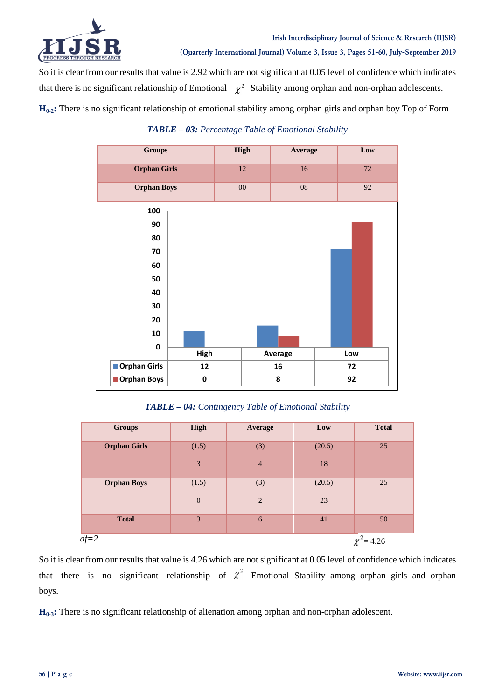

So it is clear from our results that value is 2.92 which are not significant at 0.05 level of confidence which indicates that there is no significant relationship of Emotional  $\chi^2$  Stability among orphan and non-orphan adolescents.

**H0-2:** There is no significant relationship of emotional stability among orphan girls and orphan boy Top of Form

| <b>Groups</b>       |           | <b>High</b> |         | <b>Average</b>  | Low |
|---------------------|-----------|-------------|---------|-----------------|-----|
| <b>Orphan Girls</b> |           | 12          |         | 16              | 72  |
| <b>Orphan Boys</b>  |           | $00\,$      |         | $\overline{08}$ | 92  |
| 100                 |           |             |         |                 |     |
| 90                  |           |             |         |                 |     |
| 80                  |           |             |         |                 |     |
| 70                  |           |             |         |                 |     |
| 60                  |           |             |         |                 |     |
| 50                  |           |             |         |                 |     |
| 40                  |           |             |         |                 |     |
| 30                  |           |             |         |                 |     |
| 20                  |           |             |         |                 |     |
| 10                  |           |             |         |                 |     |
| $\mathbf 0$         | High      |             | Average |                 | Low |
| Orphan Girls        | 12        |             | 16      |                 | 72  |
| Orphan Boys         | $\pmb{0}$ |             | 8       |                 | 92  |

*TABLE – 03: Percentage Table of Emotional Stability*

*TABLE – 04: Contingency Table of Emotional Stability*

| <b>Groups</b>       | High           | Average        | Low    | <b>Total</b> |
|---------------------|----------------|----------------|--------|--------------|
| <b>Orphan Girls</b> | (1.5)          | (3)            | (20.5) | 25           |
|                     | $\mathfrak{Z}$ | $\overline{4}$ | 18     |              |
| <b>Orphan Boys</b>  | (1.5)          | (3)            | (20.5) | 25           |
|                     | $\mathbf{0}$   | $\overline{2}$ | 23     |              |
| <b>Total</b>        | 3              | 6              | 41     | 50           |
| $df=2$              |                |                |        | $= 4.26$     |

So it is clear from our results that value is 4.26 which are not significant at 0.05 level of confidence which indicates that there is no significant relationship of  $\chi^2$  Emotional Stability among orphan girls and orphan boys.

**H0-3:** There is no significant relationship of alienation among orphan and non-orphan adolescent.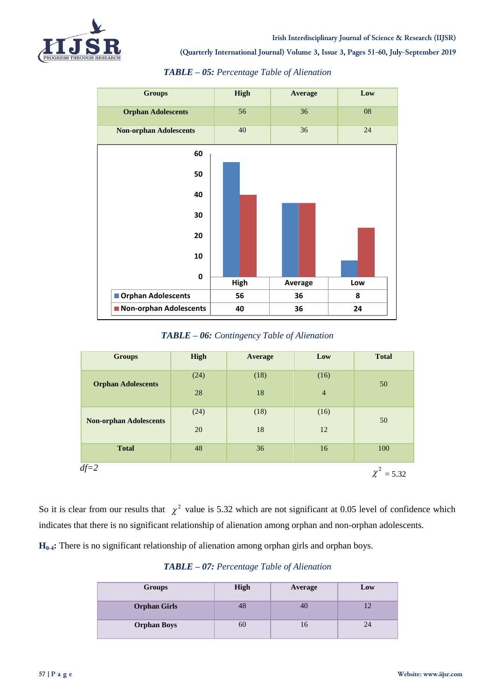

**(Quarterly International Journal) Volume 3, Issue 3, Pages 51-60, July-September 2019**



### *TABLE – 05: Percentage Table of Alienation*

*TABLE – 06: Contingency Table of Alienation*

| <b>Groups</b>                 | High | <b>Average</b> | Low            | <b>Total</b> |
|-------------------------------|------|----------------|----------------|--------------|
|                               | (24) | (18)           | (16)           | 50           |
| <b>Orphan Adolescents</b>     | 28   | 18             | $\overline{4}$ |              |
|                               | (24) | (18)           | (16)           | 50           |
| <b>Non-orphan Adolescents</b> | 20   | 18             | 12             |              |
| <b>Total</b>                  | 48   | 36             | 16             | 100          |
| $df=2$                        |      |                |                | $= 5.32$     |

So it is clear from our results that  $\chi^2$  value is 5.32 which are not significant at 0.05 level of confidence which indicates that there is no significant relationship of alienation among orphan and non-orphan adolescents.

**H0-4:** There is no significant relationship of alienation among orphan girls and orphan boys.

### *TABLE – 07: Percentage Table of Alienation*

| Groups              | <b>High</b> | Average | Low |
|---------------------|-------------|---------|-----|
| <b>Orphan Girls</b> | 48          | 40      |     |
| <b>Orphan Boys</b>  | 60          |         |     |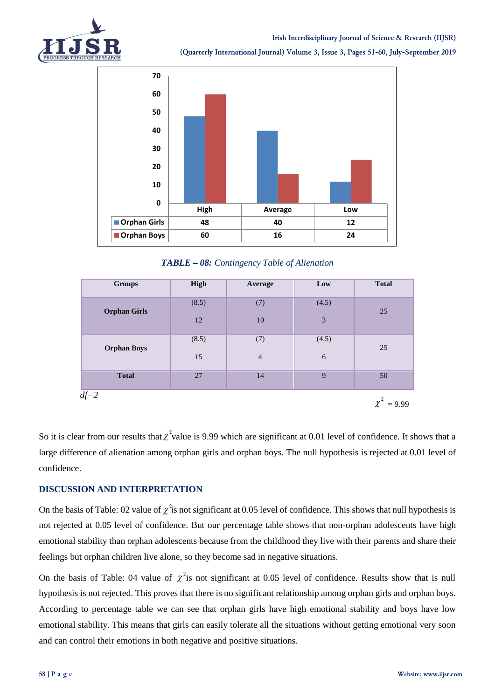



**(Quarterly International Journal) Volume 3, Issue 3, Pages 51-60, July-September 2019**



*TABLE – 08: Contingency Table of Alienation*

| Groups              | High  | Average        | Low        | <b>Total</b>    |
|---------------------|-------|----------------|------------|-----------------|
| <b>Orphan Girls</b> | (8.5) | (7)            | (4.5)      | 25              |
|                     | 12    | 10             | 3          |                 |
| <b>Orphan Boys</b>  | (8.5) | (7)            | (4.5)      | 25              |
|                     | 15    | $\overline{4}$ | $\sqrt{6}$ |                 |
| <b>Total</b>        | 27    | 14             | 9          | 50              |
| $df=2$              |       |                |            | $\chi^2 = 9.99$ |

So it is clear from our results that  $\chi^2$  value is 9.99 which are significant at 0.01 level of confidence. It shows that a large difference of alienation among orphan girls and orphan boys. The null hypothesis is rejected at 0.01 level of confidence.

# **DISCUSSION AND INTERPRETATION**

On the basis of Table: 02 value of  $\chi^2$  is not significant at 0.05 level of confidence. This shows that null hypothesis is not rejected at 0.05 level of confidence. But our percentage table shows that non-orphan adolescents have high emotional stability than orphan adolescents because from the childhood they live with their parents and share their feelings but orphan children live alone, so they become sad in negative situations.

On the basis of Table: 04 value of  $\chi^2$  is not significant at 0.05 level of confidence. Results show that is null hypothesis is not rejected. This proves that there is no significant relationship among orphan girls and orphan boys. According to percentage table we can see that orphan girls have high emotional stability and boys have low emotional stability. This means that girls can easily tolerate all the situations without getting emotional very soon and can control their emotions in both negative and positive situations.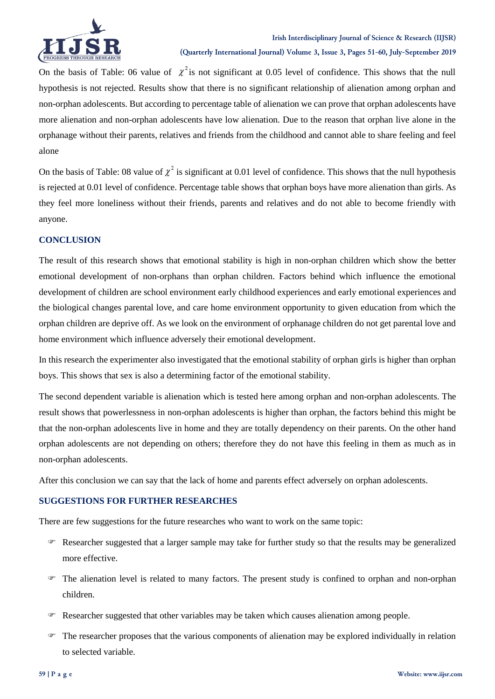

On the basis of Table: 06 value of  $\chi^2$  is not significant at 0.05 level of confidence. This shows that the null hypothesis is not rejected. Results show that there is no significant relationship of alienation among orphan and non-orphan adolescents. But according to percentage table of alienation we can prove that orphan adolescents have more alienation and non-orphan adolescents have low alienation. Due to the reason that orphan live alone in the orphanage without their parents, relatives and friends from the childhood and cannot able to share feeling and feel alone

On the basis of Table: 08 value of  $\chi^2$  is significant at 0.01 level of confidence. This shows that the null hypothesis is rejected at 0.01 level of confidence. Percentage table shows that orphan boys have more alienation than girls. As they feel more loneliness without their friends, parents and relatives and do not able to become friendly with anyone.

## **CONCLUSION**

The result of this research shows that emotional stability is high in non-orphan children which show the better emotional development of non-orphans than orphan children. Factors behind which influence the emotional development of children are school environment early childhood experiences and early emotional experiences and the biological changes parental love, and care home environment opportunity to given education from which the orphan children are deprive off. As we look on the environment of orphanage children do not get parental love and home environment which influence adversely their emotional development.

In this research the experimenter also investigated that the emotional stability of orphan girls is higher than orphan boys. This shows that sex is also a determining factor of the emotional stability.

The second dependent variable is alienation which is tested here among orphan and non-orphan adolescents. The result shows that powerlessness in non-orphan adolescents is higher than orphan, the factors behind this might be that the non-orphan adolescents live in home and they are totally dependency on their parents. On the other hand orphan adolescents are not depending on others; therefore they do not have this feeling in them as much as in non-orphan adolescents.

After this conclusion we can say that the lack of home and parents effect adversely on orphan adolescents.

### **SUGGESTIONS FOR FURTHER RESEARCHES**

There are few suggestions for the future researches who want to work on the same topic:

- Researcher suggested that a larger sample may take for further study so that the results may be generalized more effective.
- The alienation level is related to many factors. The present study is confined to orphan and non-orphan children.
- Researcher suggested that other variables may be taken which causes alienation among people.
- $\blacktriangleright$  The researcher proposes that the various components of alienation may be explored individually in relation to selected variable.